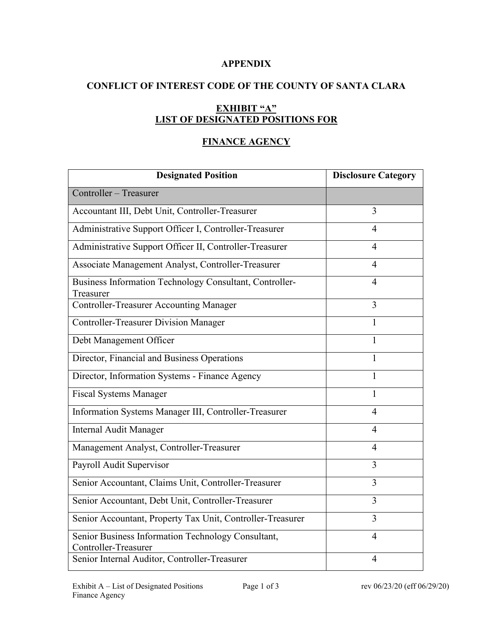### **APPENDIX**

# **CONFLICT OF INTEREST CODE OF THE COUNTY OF SANTA CLARA**

# **EXHIBIT "A" LIST OF DESIGNATED POSITIONS FOR**

# **FINANCE AGENCY**

| <b>Designated Position</b>                                                 | <b>Disclosure Category</b> |
|----------------------------------------------------------------------------|----------------------------|
| Controller - Treasurer                                                     |                            |
| Accountant III, Debt Unit, Controller-Treasurer                            | 3                          |
| Administrative Support Officer I, Controller-Treasurer                     | 4                          |
| Administrative Support Officer II, Controller-Treasurer                    | $\overline{4}$             |
| Associate Management Analyst, Controller-Treasurer                         | $\overline{4}$             |
| Business Information Technology Consultant, Controller-<br>Treasurer       | $\overline{4}$             |
| <b>Controller-Treasurer Accounting Manager</b>                             | 3                          |
| <b>Controller-Treasurer Division Manager</b>                               | 1                          |
| Debt Management Officer                                                    | 1                          |
| Director, Financial and Business Operations                                | 1                          |
| Director, Information Systems - Finance Agency                             | $\mathbf{1}$               |
| <b>Fiscal Systems Manager</b>                                              | 1                          |
| Information Systems Manager III, Controller-Treasurer                      | $\overline{4}$             |
| Internal Audit Manager                                                     | $\overline{4}$             |
| Management Analyst, Controller-Treasurer                                   | 4                          |
| Payroll Audit Supervisor                                                   | 3                          |
| Senior Accountant, Claims Unit, Controller-Treasurer                       | 3                          |
| Senior Accountant, Debt Unit, Controller-Treasurer                         | 3                          |
| Senior Accountant, Property Tax Unit, Controller-Treasurer                 | 3                          |
| Senior Business Information Technology Consultant,<br>Controller-Treasurer | 4                          |
| Senior Internal Auditor, Controller-Treasurer                              | $\overline{4}$             |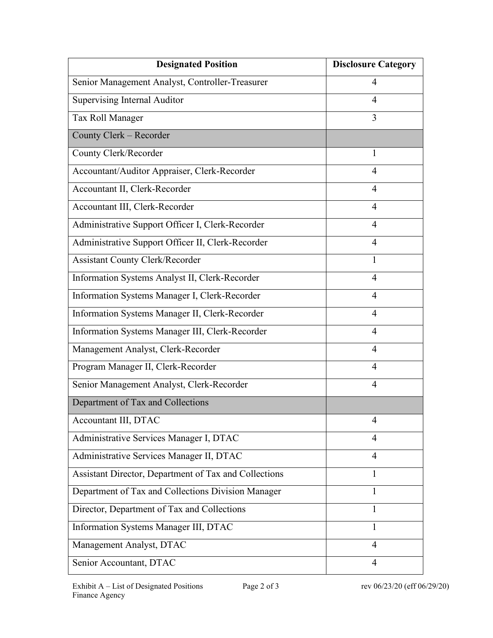| <b>Designated Position</b>                            | <b>Disclosure Category</b> |
|-------------------------------------------------------|----------------------------|
| Senior Management Analyst, Controller-Treasurer       | $\overline{4}$             |
| Supervising Internal Auditor                          | 4                          |
| Tax Roll Manager                                      | 3                          |
| County Clerk - Recorder                               |                            |
| County Clerk/Recorder                                 | $\mathbf{1}$               |
| Accountant/Auditor Appraiser, Clerk-Recorder          | 4                          |
| Accountant II, Clerk-Recorder                         | $\overline{4}$             |
| Accountant III, Clerk-Recorder                        | $\overline{4}$             |
| Administrative Support Officer I, Clerk-Recorder      | $\overline{4}$             |
| Administrative Support Officer II, Clerk-Recorder     | 4                          |
| <b>Assistant County Clerk/Recorder</b>                | 1                          |
| Information Systems Analyst II, Clerk-Recorder        | $\overline{4}$             |
| Information Systems Manager I, Clerk-Recorder         | 4                          |
| Information Systems Manager II, Clerk-Recorder        | $\overline{4}$             |
| Information Systems Manager III, Clerk-Recorder       | $\overline{4}$             |
| Management Analyst, Clerk-Recorder                    | $\overline{4}$             |
| Program Manager II, Clerk-Recorder                    | $\overline{4}$             |
| Senior Management Analyst, Clerk-Recorder             | $\overline{4}$             |
| Department of Tax and Collections                     |                            |
| Accountant III, DTAC                                  |                            |
| Administrative Services Manager I, DTAC               | 4                          |
| Administrative Services Manager II, DTAC              | 4                          |
| Assistant Director, Department of Tax and Collections | $\mathbf{1}$               |
| Department of Tax and Collections Division Manager    | 1                          |
| Director, Department of Tax and Collections           | 1                          |
| Information Systems Manager III, DTAC                 | 1                          |
| Management Analyst, DTAC                              | 4                          |
| Senior Accountant, DTAC                               | 4                          |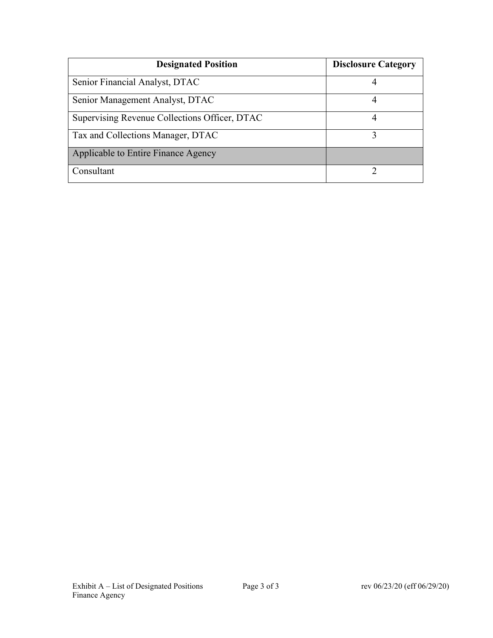| <b>Designated Position</b>                    | <b>Disclosure Category</b> |
|-----------------------------------------------|----------------------------|
| Senior Financial Analyst, DTAC                |                            |
| Senior Management Analyst, DTAC               |                            |
| Supervising Revenue Collections Officer, DTAC | 4                          |
| Tax and Collections Manager, DTAC             |                            |
| Applicable to Entire Finance Agency           |                            |
| Consultant                                    |                            |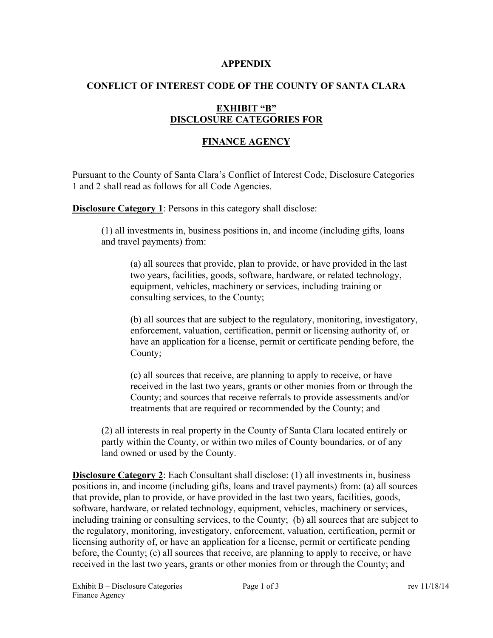#### **APPENDIX**

## **CONFLICT OF INTEREST CODE OF THE COUNTY OF SANTA CLARA**

## **EXHIBIT "B" DISCLOSURE CATEGORIES FOR**

## **FINANCE AGENCY**

Pursuant to the County of Santa Clara's Conflict of Interest Code, Disclosure Categories 1 and 2 shall read as follows for all Code Agencies.

**Disclosure Category 1:** Persons in this category shall disclose:

(1) all investments in, business positions in, and income (including gifts, loans and travel payments) from:

(a) all sources that provide, plan to provide, or have provided in the last two years, facilities, goods, software, hardware, or related technology, equipment, vehicles, machinery or services, including training or consulting services, to the County;

(b) all sources that are subject to the regulatory, monitoring, investigatory, enforcement, valuation, certification, permit or licensing authority of, or have an application for a license, permit or certificate pending before, the County;

(c) all sources that receive, are planning to apply to receive, or have received in the last two years, grants or other monies from or through the County; and sources that receive referrals to provide assessments and/or treatments that are required or recommended by the County; and

(2) all interests in real property in the County of Santa Clara located entirely or partly within the County, or within two miles of County boundaries, or of any land owned or used by the County.

**Disclosure Category 2**: Each Consultant shall disclose: (1) all investments in, business positions in, and income (including gifts, loans and travel payments) from: (a) all sources that provide, plan to provide, or have provided in the last two years, facilities, goods, software, hardware, or related technology, equipment, vehicles, machinery or services, including training or consulting services, to the County; (b) all sources that are subject to the regulatory, monitoring, investigatory, enforcement, valuation, certification, permit or licensing authority of, or have an application for a license, permit or certificate pending before, the County; (c) all sources that receive, are planning to apply to receive, or have received in the last two years, grants or other monies from or through the County; and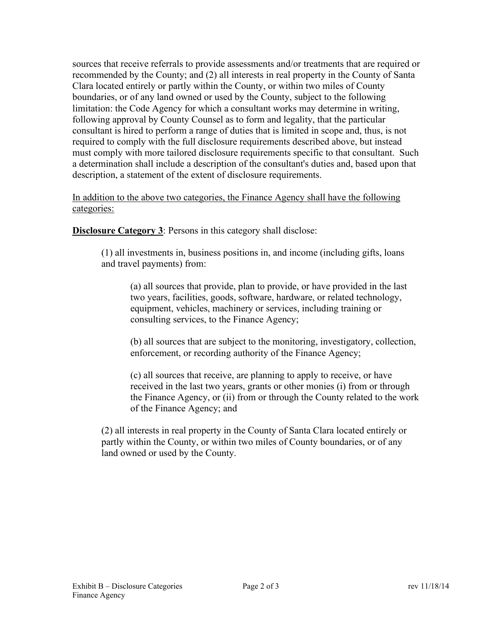sources that receive referrals to provide assessments and/or treatments that are required or recommended by the County; and (2) all interests in real property in the County of Santa Clara located entirely or partly within the County, or within two miles of County boundaries, or of any land owned or used by the County, subject to the following limitation: the Code Agency for which a consultant works may determine in writing, following approval by County Counsel as to form and legality, that the particular consultant is hired to perform a range of duties that is limited in scope and, thus, is not required to comply with the full disclosure requirements described above, but instead must comply with more tailored disclosure requirements specific to that consultant. Such a determination shall include a description of the consultant's duties and, based upon that description, a statement of the extent of disclosure requirements.

In addition to the above two categories, the Finance Agency shall have the following categories:

**Disclosure Category 3**: Persons in this category shall disclose:

(1) all investments in, business positions in, and income (including gifts, loans and travel payments) from:

(a) all sources that provide, plan to provide, or have provided in the last two years, facilities, goods, software, hardware, or related technology, equipment, vehicles, machinery or services, including training or consulting services, to the Finance Agency;

(b) all sources that are subject to the monitoring, investigatory, collection, enforcement, or recording authority of the Finance Agency;

(c) all sources that receive, are planning to apply to receive, or have received in the last two years, grants or other monies (i) from or through the Finance Agency, or (ii) from or through the County related to the work of the Finance Agency; and

(2) all interests in real property in the County of Santa Clara located entirely or partly within the County, or within two miles of County boundaries, or of any land owned or used by the County.